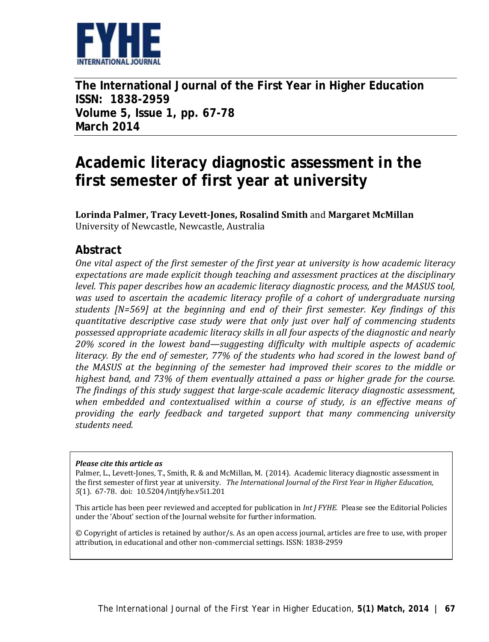

**The International Journal of the First Year in Higher Education ISSN: 1838-2959 Volume 5, Issue 1, pp. 67-78 March 2014**

# **Academic literacy diagnostic assessment in the first semester of first year at university**

**Lorinda Palmer, Tracy Levett-Jones, Rosalind Smith** and **Margaret McMillan** University of Newcastle, Newcastle, Australia

### **Abstract**

*One vital aspect of the first semester of the first year at university is how academic literacy expectations are made explicit though teaching and assessment practices at the disciplinary level. This paper describes how an academic literacy diagnostic process, and the MASUS tool, was used to ascertain the academic literacy profile of a cohort of undergraduate nursing students [N=569] at the beginning and end of their first semester. Key findings of this quantitative descriptive case study were that only just over half of commencing students possessed appropriate academic literacy skills in all four aspects of the diagnostic and nearly 20% scored in the lowest band—suggesting difficulty with multiple aspects of academic literacy. By the end of semester, 77% of the students who had scored in the lowest band of the MASUS at the beginning of the semester had improved their scores to the middle or highest band, and 73% of them eventually attained a pass or higher grade for the course. The findings of this study suggest that large-scale academic literacy diagnostic assessment, when embedded and contextualised within a course of study, is an effective means of providing the early feedback and targeted support that many commencing university students need.* 

#### *Please cite this article as*

Palmer, L., Levett-Jones, T., Smith, R. & and McMillan, M. (2014).Academic literacy diagnostic assessment in the first semester of first year at university. *The International Journal of the First Year in Higher Education, 5*(1). 67-78. doi: 10.5204/intjfyhe.v5i1.201

This article has been peer reviewed and accepted for publication in *Int J FYHE.* Please see the Editorial Policies under the 'About' section of the Journal website for further information.

© Copyright of articles is retained by author/s. As an open access journal, articles are free to use, with proper attribution, in educational and other non-commercial settings. ISSN: 1838-2959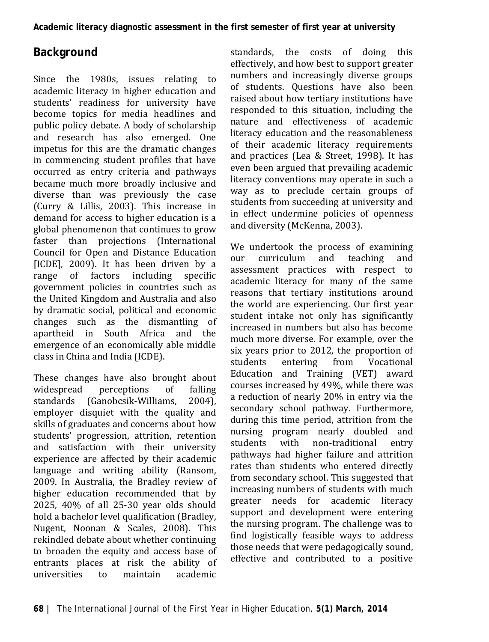## **Background**

Since the 1980s, issues relating to academic literacy in higher education and students' readiness for university have become topics for media headlines and public policy debate. A body of scholarship and research has also emerged. One impetus for this are the dramatic changes in commencing student profiles that have occurred as entry criteria and pathways became much more broadly inclusive and diverse than was previously the case (Curry & Lillis, 2003). This increase in demand for access to higher education is a global phenomenon that continues to grow faster than projections (International Council for Open and Distance Education [ICDE], 2009). It has been driven by a<br>range of factors including specific factors including government policies in countries such as the United Kingdom and Australia and also by dramatic social, political and economic changes such as the dismantling of apartheid in South Africa and the emergence of an economically able middle class in China and India (ICDE).

These changes have also brought about<br>widespread perceptions of falling widespread perceptions of falling<br>standards (Ganobcsik-Williams, 2004). standards (Ganobcsik-Williams, employer disquiet with the quality and skills of graduates and concerns about how students' progression, attrition, retention and satisfaction with their university experience are affected by their academic language and writing ability (Ransom, 2009. In Australia, the Bradley review of higher education recommended that by 2025, 40% of all 25-30 year olds should hold a bachelor level qualification (Bradley, Nugent, Noonan & Scales, 2008). This rekindled debate about whether continuing to broaden the equity and access base of entrants places at risk the ability of<br>universities to maintain academic universities

standards, the costs of doing this effectively, and how best to support greater numbers and increasingly diverse groups of students. Questions have also been raised about how tertiary institutions have responded to this situation, including the nature and effectiveness of academic literacy education and the reasonableness of their academic literacy requirements and practices (Lea & Street, 1998). It has even been argued that prevailing academic literacy conventions may operate in such a way as to preclude certain groups of students from succeeding at university and in effect undermine policies of openness and diversity (McKenna, 2003).

We undertook the process of examining<br>our curriculum and teaching and our curriculum and teaching and assessment practices with respect to academic literacy for many of the same reasons that tertiary institutions around the world are experiencing. Our first year student intake not only has significantly increased in numbers but also has become much more diverse. For example, over the six years prior to 2012, the proportion of<br>students entering from Vocational students entering from Vocational Education and Training (VET) award courses increased by 49%, while there was a reduction of nearly 20% in entry via the secondary school pathway. Furthermore, during this time period, attrition from the nursing program nearly doubled and<br>students with non-traditional entry non-traditional pathways had higher failure and attrition rates than students who entered directly from secondary school. This suggested that increasing numbers of students with much greater needs for academic literacy support and development were entering the nursing program. The challenge was to find logistically feasible ways to address those needs that were pedagogically sound, effective and contributed to a positive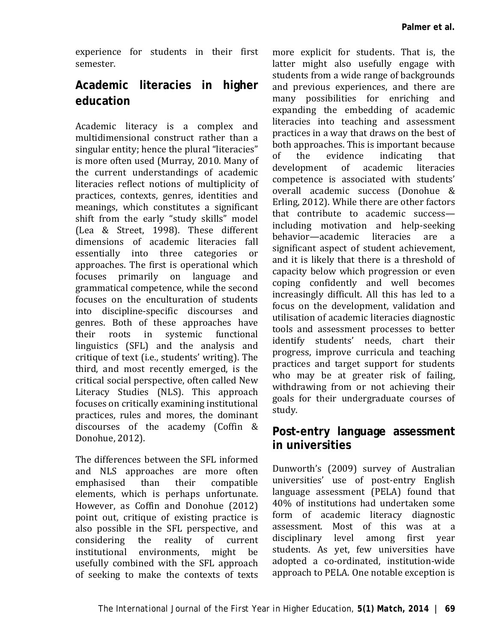experience for students in their first semester.

## **Academic literacies in higher education**

Academic literacy is a complex and multidimensional construct rather than a singular entity; hence the plural "literacies" is more often used (Murray, 2010. Many of the current understandings of academic literacies reflect notions of multiplicity of practices, contexts, genres, identities and meanings, which constitutes a significant shift from the early "study skills" model (Lea & Street, 1998). These different dimensions of academic literacies fall essentially into three categories or approaches. The first is operational which focuses primarily on language and grammatical competence, while the second focuses on the enculturation of students into discipline-specific discourses and genres. Both of these approaches have their roots in systemic functional linguistics (SFL) and the analysis and critique of text (i.e., students' writing). The third, and most recently emerged, is the critical social perspective, often called New Literacy Studies (NLS). This approach focuses on critically examining institutional practices, rules and mores, the dominant discourses of the academy (Coffin & Donohue, 2012).

The differences between the SFL informed and NLS approaches are more often emphasised elements, which is perhaps unfortunate. However, as Coffin and Donohue (2012) point out, critique of existing practice is also possible in the SFL perspective, and considering the reality of current institutional environments, might be usefully combined with the SFL approach of seeking to make the contexts of texts

more explicit for students. That is, the latter might also usefully engage with students from a wide range of backgrounds and previous experiences, and there are many possibilities for enriching and expanding the embedding of academic literacies into teaching and assessment practices in a way that draws on the best of both approaches. This is important because<br>of the evidence indicating that of the evidence indicating that development of academic literacies competence is associated with students' overall academic success (Donohue & Erling, 2012). While there are other factors that contribute to academic success including motivation and help-seeking behavior—academic literacies are a significant aspect of student achievement, and it is likely that there is a threshold of capacity below which progression or even coping confidently and well becomes increasingly difficult. All this has led to a focus on the development, validation and utilisation of academic literacies diagnostic tools and assessment processes to better identify students' needs, chart their progress, improve curricula and teaching practices and target support for students who may be at greater risk of failing, withdrawing from or not achieving their goals for their undergraduate courses of study.

### **Post-entry language assessment in universities**

Dunworth's (2009) survey of Australian universities' use of post-entry English language assessment (PELA) found that 40% of institutions had undertaken some form of academic literacy diagnostic assessment. Most of this was at a disciplinary level among first year students. As yet, few universities have adopted a co-ordinated, institution-wide approach to PELA. One notable exception is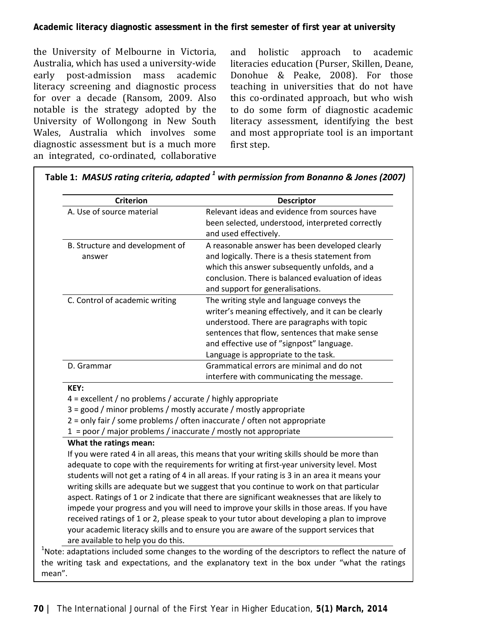#### **Academic literacy diagnostic assessment in the first semester of first year at university**

the University of Melbourne in Victoria, Australia, which has used a university-wide early post-admission mass academic literacy screening and diagnostic process for over a decade (Ransom, 2009. Also notable is the strategy adopted by the University of Wollongong in New South Wales, Australia which involves some diagnostic assessment but is a much more an integrated, co-ordinated, collaborative

and holistic approach to academic literacies education (Purser, Skillen, Deane, Donohue & Peake, 2008). For those teaching in universities that do not have this co-ordinated approach, but who wish to do some form of diagnostic academic literacy assessment, identifying the best and most appropriate tool is an important first step.

| A. Use of source material                                                                                                                                                                                                                                                              | Relevant ideas and evidence from sources have<br>been selected, understood, interpreted correctly                                                                                                                                                                                                                                                                                                                                                                                                                                                                                                                                                                                                                                                                    |
|----------------------------------------------------------------------------------------------------------------------------------------------------------------------------------------------------------------------------------------------------------------------------------------|----------------------------------------------------------------------------------------------------------------------------------------------------------------------------------------------------------------------------------------------------------------------------------------------------------------------------------------------------------------------------------------------------------------------------------------------------------------------------------------------------------------------------------------------------------------------------------------------------------------------------------------------------------------------------------------------------------------------------------------------------------------------|
|                                                                                                                                                                                                                                                                                        | and used effectively.                                                                                                                                                                                                                                                                                                                                                                                                                                                                                                                                                                                                                                                                                                                                                |
| B. Structure and development of<br>answer                                                                                                                                                                                                                                              | A reasonable answer has been developed clearly<br>and logically. There is a thesis statement from<br>which this answer subsequently unfolds, and a<br>conclusion. There is balanced evaluation of ideas<br>and support for generalisations.                                                                                                                                                                                                                                                                                                                                                                                                                                                                                                                          |
| C. Control of academic writing                                                                                                                                                                                                                                                         | The writing style and language conveys the<br>writer's meaning effectively, and it can be clearly<br>understood. There are paragraphs with topic<br>sentences that flow, sentences that make sense<br>and effective use of "signpost" language.<br>Language is appropriate to the task.                                                                                                                                                                                                                                                                                                                                                                                                                                                                              |
| D. Grammar                                                                                                                                                                                                                                                                             | Grammatical errors are minimal and do not<br>interfere with communicating the message.                                                                                                                                                                                                                                                                                                                                                                                                                                                                                                                                                                                                                                                                               |
| KEY:<br>4 = excellent / no problems / accurate / highly appropriate<br>3 = good / minor problems / mostly accurate / mostly appropriate<br>2 = only fair / some problems / often inaccurate / often not appropriate<br>1 = poor / major problems / inaccurate / mostly not appropriate |                                                                                                                                                                                                                                                                                                                                                                                                                                                                                                                                                                                                                                                                                                                                                                      |
| What the ratings mean:<br>are available to help you do this.                                                                                                                                                                                                                           | If you were rated 4 in all areas, this means that your writing skills should be more than<br>adequate to cope with the requirements for writing at first-year university level. Most<br>students will not get a rating of 4 in all areas. If your rating is 3 in an area it means your<br>writing skills are adequate but we suggest that you continue to work on that particular<br>aspect. Ratings of 1 or 2 indicate that there are significant weaknesses that are likely to<br>impede your progress and you will need to improve your skills in those areas. If you have<br>received ratings of 1 or 2, please speak to your tutor about developing a plan to improve<br>your academic literacy skills and to ensure you are aware of the support services that |

**Table 1:** *MASUS rating criteria, adapted <sup>1</sup> with permission from Bonanno & Jones (2007)*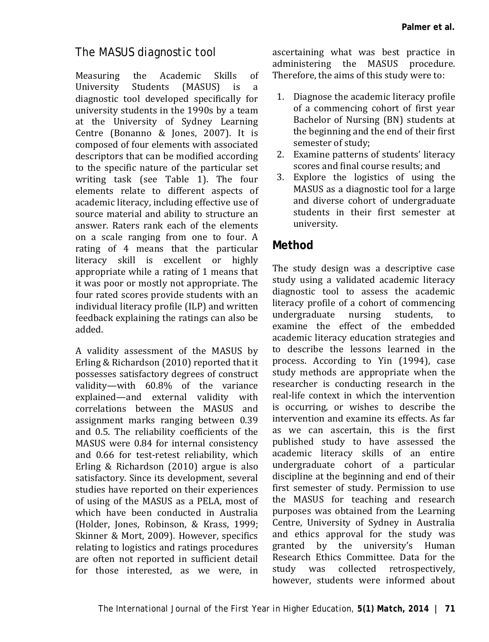### *The MASUS diagnostic tool*

Measuring the Academic Skills of<br>University Students (MASUS) is a University Students (MASUS) is a diagnostic tool developed specifically for university students in the 1990s by a team at the University of Sydney Learning Centre (Bonanno & Jones, 2007). It is composed of four elements with associated descriptors that can be modified according to the specific nature of the particular set writing task (see Table 1). The four elements relate to different aspects of academic literacy, including effective use of source material and ability to structure an answer. Raters rank each of the elements on a scale ranging from one to four. A rating of 4 means that the particular literacy skill is excellent or highly appropriate while a rating of 1 means that it was poor or mostly not appropriate. The four rated scores provide students with an individual literacy profile (ILP) and written feedback explaining the ratings can also be added.

A validity assessment of the MASUS by Erling & Richardson (2010) reported that it possesses satisfactory degrees of construct validity—with 60.8% of the variance explained—and external validity with correlations between the MASUS and assignment marks ranging between 0.39 and 0.5. The reliability coefficients of the MASUS were 0.84 for internal consistency and 0.66 for test-retest reliability, which Erling & Richardson (2010) argue is also satisfactory. Since its development, several studies have reported on their experiences of using of the MASUS as a PELA, most of which have been conducted in Australia (Holder, Jones, Robinson, & Krass, 1999; Skinner & Mort, 2009). However, specifics relating to logistics and ratings procedures are often not reported in sufficient detail for those interested, as we were, in ascertaining what was best practice in administering the MASUS procedure. Therefore, the aims of this study were to:

- 1. Diagnose the academic literacy profile of a commencing cohort of first year Bachelor of Nursing (BN) students at the beginning and the end of their first semester of study;
- 2. Examine patterns of students' literacy scores and final course results; and
- 3. Explore the logistics of using the MASUS as a diagnostic tool for a large and diverse cohort of undergraduate students in their first semester at university.

## **Method**

The study design was a descriptive case study using a validated academic literacy diagnostic tool to assess the academic literacy profile of a cohort of commencing<br>undergraduate nursing students, to undergraduate nursing students, examine the effect of the embedded academic literacy education strategies and to describe the lessons learned in the process. According to Yin (1994), case study methods are appropriate when the researcher is conducting research in the real-life context in which the intervention is occurring, or wishes to describe the intervention and examine its effects. As far as we can ascertain, this is the first published study to have assessed the academic literacy skills of an entire undergraduate cohort of a particular discipline at the beginning and end of their first semester of study. Permission to use the MASUS for teaching and research purposes was obtained from the Learning Centre, University of Sydney in Australia and ethics approval for the study was granted by the university's Human Research Ethics Committee. Data for the<br>study was collected retrospectively. retrospectively. however, students were informed about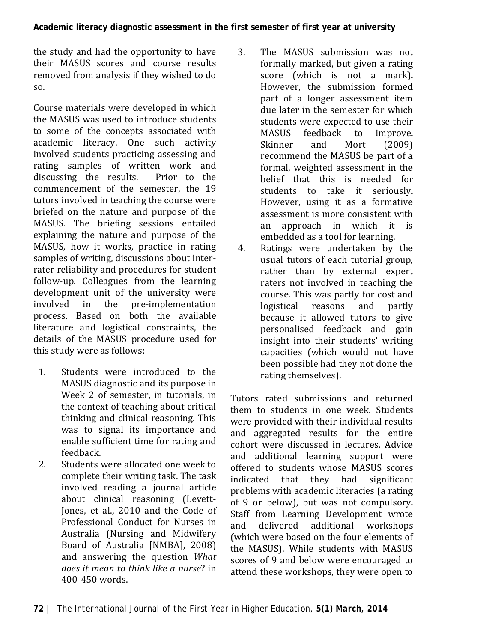the study and had the opportunity to have their MASUS scores and course results removed from analysis if they wished to do so.

Course materials were developed in which the MASUS was used to introduce students to some of the concepts associated with academic literacy. One such activity involved students practicing assessing and rating samples of written work and<br>discussing the results. Prior to the discussing the results. commencement of the semester, the 19 tutors involved in teaching the course were briefed on the nature and purpose of the MASUS. The briefing sessions entailed explaining the nature and purpose of the MASUS, how it works, practice in rating samples of writing, discussions about interrater reliability and procedures for student follow-up. Colleagues from the learning development unit of the university were<br>involved in the pre-implementation pre-implementation process. Based on both the available literature and logistical constraints, the details of the MASUS procedure used for this study were as follows:

- 1. Students were introduced to the MASUS diagnostic and its purpose in Week 2 of semester, in tutorials, in the context of teaching about critical thinking and clinical reasoning. This was to signal its importance and enable sufficient time for rating and feedback.
- 2. Students were allocated one week to complete their writing task. The task involved reading a journal article about clinical reasoning (Levett-Jones, et al., 2010 and the Code of Professional Conduct for Nurses in Australia (Nursing and Midwifery Board of Australia [NMBA], 2008) and answering the question *What does it mean to think like a nurse*? in 400-450 words.
- 3. The MASUS submission was not formally marked, but given a rating score (which is not a mark). However, the submission formed part of a longer assessment item due later in the semester for which students were expected to use their<br>MASUS feedback to improve. MASUS feedback to improve.<br>Skinner and Mort (2009) Skinner and Mort (2009) recommend the MASUS be part of a formal, weighted assessment in the belief that this is needed for students to take it seriously. However, using it as a formative assessment is more consistent with<br>an approach in which it is approach in which it is embedded as a tool for learning.
- 4. Ratings were undertaken by the usual tutors of each tutorial group, rather than by external expert raters not involved in teaching the course. This was partly for cost and<br>logistical reasons and partly logistical reasons because it allowed tutors to give personalised feedback and gain insight into their students' writing capacities (which would not have been possible had they not done the rating themselves).

Tutors rated submissions and returned them to students in one week. Students were provided with their individual results and aggregated results for the entire cohort were discussed in lectures. Advice and additional learning support were offered to students whose MASUS scores<br>indicated that they had significant indicated that they had problems with academic literacies (a rating of 9 or below), but was not compulsory. Staff from Learning Development wrote<br>and delivered additional workshops delivered additional workshops (which were based on the four elements of the MASUS). While students with MASUS scores of 9 and below were encouraged to attend these workshops, they were open to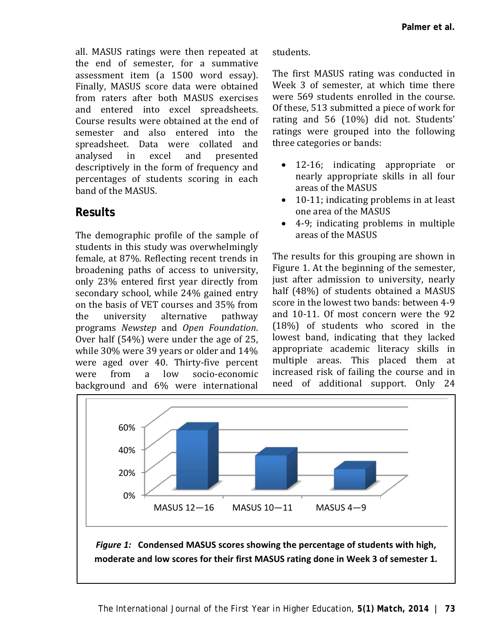all. MASUS ratings were then repeated at the end of semester, for a summative assessment item (a 1500 word essay). Finally, MASUS score data were obtained from raters after both MASUS exercises and entered into excel spreadsheets Course results were obtained at the end of semester and also entered into the spreadsheet. Data were collated and<br>analysed in excel and presented analysed in excel and presented descriptively in the form of frequency and percentages of students scoring in each band of the MASUS.

### **Results**

The demographic profile of the sample of students in this study was overwhelmingly female, at 87%. Reflecting recent trends in broadening paths of access to university, only 23% entered first year directly from secondary school, while 24% gained entry on the basis of VET courses and 35% from<br>the university alternative pathway university programs *Newstep* and *Open Foundation*. Over half (54%) were under the age of 25, while 30% were 39 years or older and 14% were aged over 40. Thirty-five percent<br>were from a low socio-economic low socio-economic background and 6% were international

#### students.

The first MASUS rating was conducted in Week 3 of semester, at which time there were 569 students enrolled in the course. Of these, 513 submitted a piece of work for rating and 56 (10%) did not. Students' ratings were grouped into the following three categories or bands:

- 12-16; indicating appropriate or nearly appropriate skills in all four areas of the MASUS
- 10-11; indicating problems in at least one area of the MASUS
- 4-9; indicating problems in multiple areas of the MASUS

The results for this grouping are shown in Figure 1. At the beginning of the semester, just after admission to university, nearly half (48%) of students obtained a MASUS score in the lowest two bands: between 4-9 and 10-11. Of most concern were the 92 (18%) of students who scored in the lowest band, indicating that they lacked appropriate academic literacy skills in multiple areas. This placed them at increased risk of failing the course and in need of additional support. Only 24



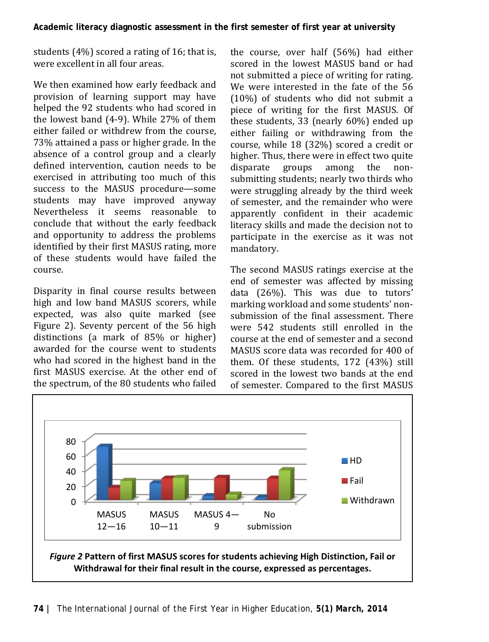students (4%) scored a rating of 16; that is, were excellent in all four areas.

We then examined how early feedback and provision of learning support may have helped the 92 students who had scored in the lowest band (4-9). While 27% of them either failed or withdrew from the course, 73% attained a pass or higher grade. In the absence of a control group and a clearly defined intervention, caution needs to be exercised in attributing too much of this success to the MASUS procedure—some students may have improved anyway Nevertheless it seems reasonable to conclude that without the early feedback and opportunity to address the problems identified by their first MASUS rating, more of these students would have failed the course.

Disparity in final course results between high and low band MASUS scorers, while expected, was also quite marked (see Figure 2). Seventy percent of the 56 high distinctions (a mark of 85% or higher) awarded for the course went to students who had scored in the highest band in the first MASUS exercise. At the other end of the spectrum, of the 80 students who failed

the course, over half (56%) had either scored in the lowest MASUS band or had not submitted a piece of writing for rating. We were interested in the fate of the 56 (10%) of students who did not submit a piece of writing for the first MASUS. Of these students, 33 (nearly 60%) ended up either failing or withdrawing from the course, while 18 (32%) scored a credit or higher. Thus, there were in effect two quite<br>disparate groups among the nondisparate groups among the nonsubmitting students; nearly two thirds who were struggling already by the third week of semester, and the remainder who were apparently confident in their academic literacy skills and made the decision not to participate in the exercise as it was not mandatory.

The second MASUS ratings exercise at the end of semester was affected by missing data (26%). This was due to tutors' marking workload and some students' nonsubmission of the final assessment. There were 542 students still enrolled in the course at the end of semester and a second MASUS score data was recorded for 400 of them. Of these students, 172 (43%) still scored in the lowest two bands at the end of semester. Compared to the first MASUS

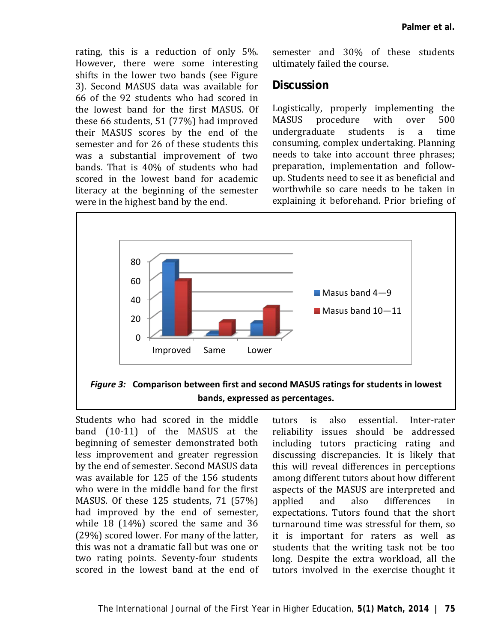rating, this is a reduction of only 5%. However, there were some interesting shifts in the lower two bands (see Figure 3). Second MASUS data was available for 66 of the 92 students who had scored in the lowest band for the first MASUS. Of these 66 students, 51 (77%) had improved their MASUS scores by the end of the semester and for 26 of these students this was a substantial improvement of two bands. That is 40% of students who had scored in the lowest band for academic literacy at the beginning of the semester were in the highest band by the end.

semester and 30% of these students ultimately failed the course.

#### **Discussion**

Logistically, properly implementing the<br>MASUS procedure with over 500 procedure with over 500<br>duate students is a time undergraduate students is a consuming, complex undertaking. Planning needs to take into account three phrases; preparation, implementation and followup. Students need to see it as beneficial and worthwhile so care needs to be taken in explaining it beforehand. Prior briefing of



*Figure 3:* **Comparison between first and second MASUS ratings for students in lowest bands, expressed as percentages.**

Students who had scored in the middle band (10-11) of the MASUS at the beginning of semester demonstrated both less improvement and greater regression by the end of semester. Second MASUS data was available for 125 of the 156 students who were in the middle band for the first MASUS. Of these 125 students, 71 (57%) had improved by the end of semester, while 18 (14%) scored the same and 36 (29%) scored lower. For many of the latter, this was not a dramatic fall but was one or two rating points. Seventy-four students scored in the lowest band at the end of

tutors is also essential. Inter-rater reliability issues should be addressed including tutors practicing rating and discussing discrepancies. It is likely that this will reveal differences in perceptions among different tutors about how different aspects of the MASUS are interpreted and<br>applied and also differences in applied and also differences in expectations. Tutors found that the short turnaround time was stressful for them, so it is important for raters as well as students that the writing task not be too long. Despite the extra workload, all the tutors involved in the exercise thought it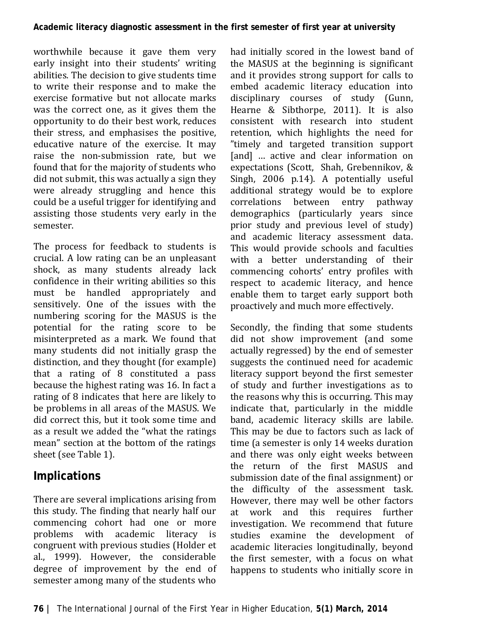worthwhile because it gave them very early insight into their students' writing abilities. The decision to give students time to write their response and to make the exercise formative but not allocate marks was the correct one, as it gives them the opportunity to do their best work, reduces their stress, and emphasises the positive, educative nature of the exercise. It may raise the non-submission rate, but we found that for the majority of students who did not submit, this was actually a sign they were already struggling and hence this could be a useful trigger for identifying and assisting those students very early in the semester.

The process for feedback to students is crucial. A low rating can be an unpleasant shock, as many students already lack confidence in their writing abilities so this must be handled appropriately and sensitively. One of the issues with the numbering scoring for the MASUS is the potential for the rating score to be misinterpreted as a mark. We found that many students did not initially grasp the distinction, and they thought (for example) that a rating of 8 constituted a pass because the highest rating was 16. In fact a rating of 8 indicates that here are likely to be problems in all areas of the MASUS. We did correct this, but it took some time and as a result we added the "what the ratings mean" section at the bottom of the ratings sheet (see Table 1).

## **Implications**

There are several implications arising from this study. The finding that nearly half our commencing cohort had one or more problems with academic literacy is congruent with previous studies (Holder et al., 1999). However, the considerable degree of improvement by the end of semester among many of the students who

had initially scored in the lowest band of the MASUS at the beginning is significant and it provides strong support for calls to embed academic literacy education into disciplinary courses of study (Gunn, Hearne & Sibthorpe, 2011). It is also consistent with research into student retention, which highlights the need for "timely and targeted transition support [and] ... active and clear information on expectations (Scott, Shah, Grebennikov, & Singh, 2006 p.14). A potentially useful additional strategy would be to explore<br>correlations between entry pathway between entry pathway demographics (particularly years since prior study and previous level of study) and academic literacy assessment data. This would provide schools and faculties with a better understanding of their commencing cohorts' entry profiles with respect to academic literacy, and hence enable them to target early support both proactively and much more effectively.

Secondly, the finding that some students did not show improvement (and some actually regressed) by the end of semester suggests the continued need for academic literacy support beyond the first semester of study and further investigations as to the reasons why this is occurring. This may indicate that, particularly in the middle band, academic literacy skills are labile. This may be due to factors such as lack of time (a semester is only 14 weeks duration and there was only eight weeks between the return of the first MASUS and submission date of the final assignment) or the difficulty of the assessment task. However, there may well be other factors<br>at work and this requires further work and this requires further investigation. We recommend that future studies examine the development of academic literacies longitudinally, beyond the first semester, with a focus on what happens to students who initially score in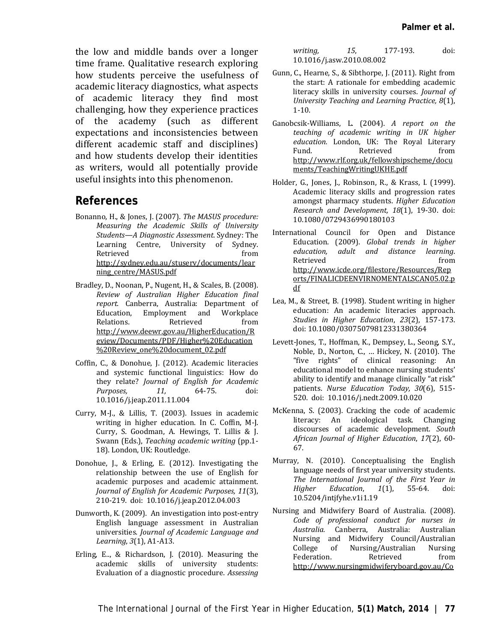the low and middle bands over a longer time frame. Qualitative research exploring how students perceive the usefulness of academic literacy diagnostics, what aspects of academic literacy they find most challenging, how they experience practices of the academy (such as different expectations and inconsistencies between different academic staff and disciplines) and how students develop their identities as writers, would all potentially provide useful insights into this phenomenon.

#### **References**

- Bonanno, H., & Jones, J. (2007). *The MASUS procedure: Measuring the Academic Skills of University Students—A Diagnostic Assessment*. Sydney: The Learning Centre, University of Sydney. Retrieved from [http://sydney.edu.au/stuserv/documents/lear](http://sydney.edu.au/stuserv/documents/learning_centre/MASUS.pdf) [ning\\_centre/MASUS.pdf](http://sydney.edu.au/stuserv/documents/learning_centre/MASUS.pdf)
- Bradley, D., Noonan, P., Nugent, H., & Scales, B. (2008). *Review of Australian Higher Education final report.* Canberra, Australia: Department of Education, Employment and Workplace<br>Relations. Retrieved from Retrieved [http://www.deewr.gov.au/HigherEducation/R](http://www.deewr.gov.au/HigherEducation/Review/Documents/PDF/Higher%20Education%20Review_one%20document_02.pdf) [eview/Documents/PDF/Higher%20Education](http://www.deewr.gov.au/HigherEducation/Review/Documents/PDF/Higher%20Education%20Review_one%20document_02.pdf) [%20Review\\_one%20document\\_02.pdf](http://www.deewr.gov.au/HigherEducation/Review/Documents/PDF/Higher%20Education%20Review_one%20document_02.pdf)
- Coffin, C., & Donohue, J. (2012). Academic literacies and systemic functional linguistics: How do they relate? *Journal of English for Academic*   $Purpose$ , [10.1016/j.jeap.2011.11.004](http://dx.doi.org/10.1016%2Fj.jeap.2011.11.004)
- Curry, M-J., & Lillis, T. (2003). Issues in academic writing in higher education. In C. Coffin, M-J. Curry, S. Goodman, A. Hewings, T. Lillis & J. Swann (Eds.), *Teaching academic writing* (pp.1- 18). London, UK: Routledge.
- Donohue, J., & Erling, E. (2012). Investigating the relationship between the use of English for academic purposes and academic attainment. *Journal of English for Academic Purposes, 11*(3), 210-219. doi: 10.1016/j.jeap.2012.04.003
- Dunworth, K. (2009). An investigation into post-entry English language assessment in Australian universities. *Journal of Academic Language and Learning*, *3*(1), A1-A13.
- Erling, E.., & Richardson, J. (2010). Measuring the academic skills of university students: Evaluation of a diagnostic procedure. *Assessing*

*writing, 15*, 177-193. [doi:](http://dx.doi.org/10.1016%2Fj.asw.2010.08.002)  [10.1016/j.asw.2010.08.002](http://dx.doi.org/10.1016%2Fj.asw.2010.08.002)

- Gunn, C., Hearne, S., & Sibthorpe, J. (2011). Right from the start: A rationale for embedding academic literacy skills in university courses. *Journal of University Teaching and Learning Practice, 8*(1), 1-10.
- Ganobcsik-Williams, L. (2004). *A report on the teaching of academic writing in UK higher education.* London, UK: The Royal Literary Fund. Retrieved from [http://www.rlf.org.uk/fellowshipscheme/docu](http://www.rlf.org.uk/fellowshipscheme/documents/TeachingWritingUKHE.pdf) [ments/TeachingWritingUKHE.pdf](http://www.rlf.org.uk/fellowshipscheme/documents/TeachingWritingUKHE.pdf)
- Holder, G., Jones, J., Robinson, R., & Krass, I. (1999). Academic literacy skills and progression rates amongst pharmacy students. *Higher Education Research and Development, 18*(1), 19-30. doi: 10.1080/0729436990180103
- International Council for Open and Distance Education. (2009). *Global trends in higher education, adult and distance learning*. Retrieved from [http://www.icde.org/filestore/Resources/Rep](http://www.icde.org/filestore/Resources/Reports/FINALICDEENVIRNOMENTALSCAN05.02.pdf) [orts/FINALICDEENVIRNOMENTALSCAN05.02.p](http://www.icde.org/filestore/Resources/Reports/FINALICDEENVIRNOMENTALSCAN05.02.pdf) [df](http://www.icde.org/filestore/Resources/Reports/FINALICDEENVIRNOMENTALSCAN05.02.pdf)
- Lea, M., & Street, B. (1998). Student writing in higher education: An academic literacies approach. *Studies in Higher Education*, *23*(2), 157-173. doi[: 10.1080/03075079812331380364](http://dx.doi.org/10.1080%2F03075079812331380364)
- Levett-Jones, T., Hoffman, K., Dempsey, L., Seong, S.Y., Noble, D., Norton, C., … Hickey, N. (2010). The "five rights" of clinical reasoning: An educational model to enhance nursing students' ability to identify and manage clinically "at risk" patients. *Nurse Education Today, 30*(6), 515- 520. doi: [10.1016/j.nedt.2009.10.020](http://dx.doi.org/10.1016%2Fj.nedt.2009.10.020)
- McKenna, S. (2003). Cracking the code of academic literacy: An ideological task. Changing discourses of academic development. *South African Journal of Higher Education*, *17*(2), 60- 67.
- Murray, N. (2010). Conceptualising the English language needs of first year university students. *The International Journal of the First Year in Higher Education*, *1*(1), 55-64. doi: [10.5204/intjfyhe.v1i1.19](http://dx.doi.org/10.5204%2Fintjfyhe.v1i1.19)
- Nursing and Midwifery Board of Australia. (2008). *Code of professional conduct for nurses in Australia.* Canberra, Australia: Australian Nursing and Midwifery Council/Australian College of Nursing/Australian Nursing Federation. Retrieved from [http://www.nursingmidwiferyboard.gov.au/Co](http://www.nursingmidwiferyboard.gov.au/Codes-Guidelines-Statements/Codes-Guidelines.aspx#competencystandards)